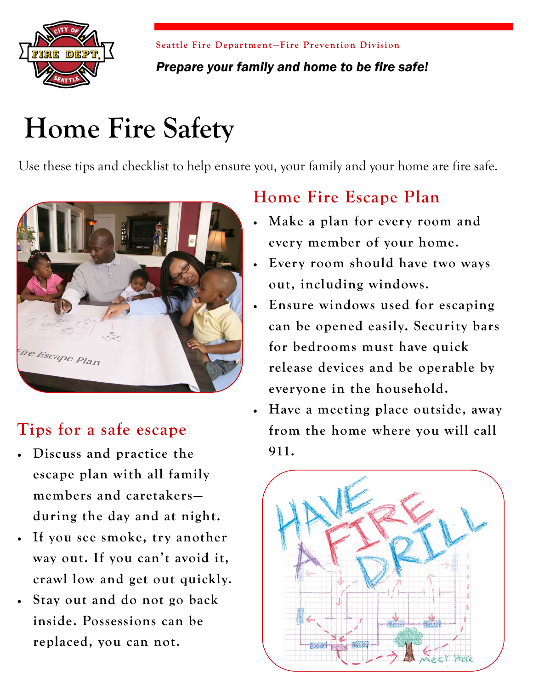

**Seattle Fire Department-Fire Prevention Division** 

### *Prepare your family and home to be fire safe!*

# **Home Fire Safety**

Use these tips and checklist to help ensure you, your family and your home are fire safe.



## **Tips for a safe escape**

- **Discuss and practice the escape plan with all family members and caretakers during the day and at night.**
- **If you see smoke, try another way out. If you can't avoid it, crawl low and get out quickly.**
- **Stay out and do not go back inside. Possessions can be replaced, you can not.**

## **Home Fire Escape Plan**

- **Make a plan for every room and every member of your home.**
- **Every room should have two ways out, including windows.**
- **Ensure windows used for escaping can be opened easily. Security bars for bedrooms must have quick release devices and be operable by everyone in the household.**
- **Have a meeting place outside, away from the home where you will call 911.**